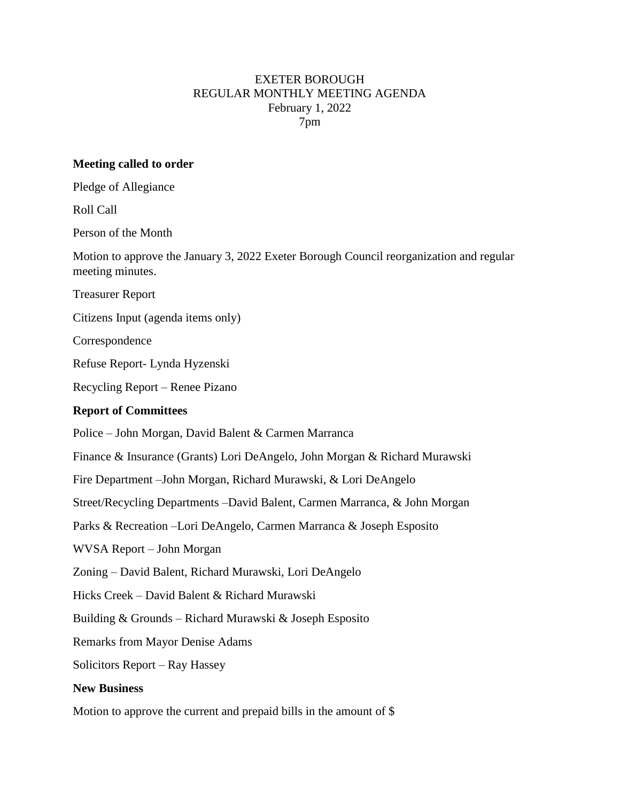## EXETER BOROUGH REGULAR MONTHLY MEETING AGENDA February 1, 2022 7pm

## **Meeting called to order**

Pledge of Allegiance

Roll Call

Person of the Month

Motion to approve the January 3, 2022 Exeter Borough Council reorganization and regular meeting minutes.

Treasurer Report

Citizens Input (agenda items only)

Correspondence

Refuse Report- Lynda Hyzenski

Recycling Report – Renee Pizano

## **Report of Committees**

Police – John Morgan, David Balent & Carmen Marranca

Finance & Insurance (Grants) Lori DeAngelo, John Morgan & Richard Murawski

Fire Department –John Morgan, Richard Murawski, & Lori DeAngelo

Street/Recycling Departments –David Balent, Carmen Marranca, & John Morgan

Parks & Recreation –Lori DeAngelo, Carmen Marranca & Joseph Esposito

WVSA Report – John Morgan

Zoning – David Balent, Richard Murawski, Lori DeAngelo

Hicks Creek – David Balent & Richard Murawski

Building & Grounds – Richard Murawski & Joseph Esposito

Remarks from Mayor Denise Adams

Solicitors Report – Ray Hassey

## **New Business**

Motion to approve the current and prepaid bills in the amount of \$